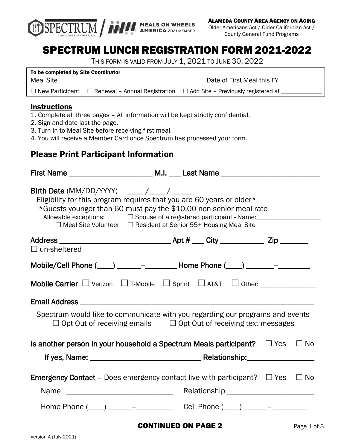

ALAMEDA COUNTY AREA AGENCY ON AGING

Older Americans Act / Older Californian Act / County General Fund Programs

# SPECTRUM LUNCH REGISTRATION FORM 2021-2022

THIS FORM IS VALID FROM JULY 1, 2021 TO JUNE 30, 2022

Date of First Meal this FY \_\_\_ To be completed by Site Coordinator Meal Site  $\Box$  New Participant  $\Box$  Renewal – Annual Registration  $\Box$  Add Site – Previously registered at \_

#### **Instructions**

- 1. Complete all three pages All information will be kept strictly confidential.
- 2. Sign and date last the page.
- 3. Turn in to Meal Site before receiving first meal.
- 4. You will receive a Member Card once Spectrum has processed your form.

## Please Print Participant Information

| Eligibility for this program requires that you are 60 years or older*<br>*Guests younger than 60 must pay the \$10.00 non-senior meal rate<br>Allowable exceptions: □ Spouse of a registered participant - Name: ____________________<br>$\Box$ Meal Site Volunteer $\Box$ Resident at Senior 55+ Housing Meal Site |                            |  |             |
|---------------------------------------------------------------------------------------------------------------------------------------------------------------------------------------------------------------------------------------------------------------------------------------------------------------------|----------------------------|--|-------------|
|                                                                                                                                                                                                                                                                                                                     |                            |  |             |
| $\Box$ un-sheltered                                                                                                                                                                                                                                                                                                 |                            |  |             |
| Mobile/Cell Phone (____) ______-_____________ Home Phone (____) _______-_-______                                                                                                                                                                                                                                    |                            |  |             |
|                                                                                                                                                                                                                                                                                                                     |                            |  |             |
|                                                                                                                                                                                                                                                                                                                     |                            |  |             |
| Spectrum would like to communicate with you regarding our programs and events<br>$\Box$ Opt Out of receiving emails $\Box$ Opt Out of receiving text messages                                                                                                                                                       |                            |  |             |
| Is another person in your household a Spectrum Meals participant? $\square$ Yes                                                                                                                                                                                                                                     |                            |  | $\Box$ No   |
|                                                                                                                                                                                                                                                                                                                     |                            |  |             |
| <b>Emergency Contact</b> – Does emergency contact live with participant? $\Box$ Yes<br><b>Name</b>                                                                                                                                                                                                                  |                            |  | $\Box$ No   |
| Home Phone (____) _______- <sup>__</sup> ________________Cell Phone (____) _______ <sup>__</sup> ___________                                                                                                                                                                                                        |                            |  |             |
|                                                                                                                                                                                                                                                                                                                     | <b>CONTINUED ON PAGE 2</b> |  | Page 1 of 3 |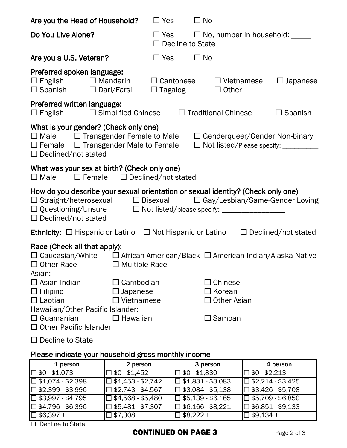| Are you the Head of Household?                                                                                                                                                                                                                                                           |                                                                    | $\Box$ Yes    | $\Box$ No                          |                                                   |                   |                                                                    |
|------------------------------------------------------------------------------------------------------------------------------------------------------------------------------------------------------------------------------------------------------------------------------------------|--------------------------------------------------------------------|---------------|------------------------------------|---------------------------------------------------|-------------------|--------------------------------------------------------------------|
| Do You Live Alone?                                                                                                                                                                                                                                                                       |                                                                    |               | $\Box$ Decline to State            |                                                   |                   | $\Box$ Yes $\Box$ No, number in household: _____                   |
| Are you a U.S. Veteran?                                                                                                                                                                                                                                                                  |                                                                    | $\square$ Yes | $\Box$ No                          |                                                   |                   |                                                                    |
| Preferred spoken language:<br>$\Box$ English $\Box$ Mandarin<br>$\Box$ Spanish $\Box$ Dari/Farsi                                                                                                                                                                                         |                                                                    |               | $\Box$ Cantonese<br>$\Box$ Tagalog |                                                   | $\Box$ Vietnamese | $\Box$ Japanese                                                    |
| Preferred written language:<br>$\Box$ English $\Box$ Simplified Chinese $\Box$ Traditional Chinese                                                                                                                                                                                       |                                                                    |               |                                    |                                                   |                   | $\Box$ Spanish                                                     |
| What is your gender? (Check only one)<br>$\Box$ Male $\Box$ Transgender Female to Male $\Box$ Genderqueer/Gender Non-binary<br>$\Box$ Female $\Box$ Transgender Male to Female<br>$\Box$ Declined/not stated                                                                             |                                                                    |               |                                    |                                                   |                   | □ Not listed/Please specify: __________                            |
| What was your sex at birth? (Check only one)<br>$\Box$ Male                                                                                                                                                                                                                              | $\Box$ Female $\Box$ Declined/not stated                           |               |                                    |                                                   |                   |                                                                    |
| How do you describe your sexual orientation or sexual identity? (Check only one)<br>$\Box$ Straight/heterosexual $\Box$ Bisexual $\Box$ Gay/Lesbian/Same-Gender Loving<br>□ Questioning/Unsure □ Not listed/please specify: ______________________________<br>$\Box$ Declined/not stated |                                                                    |               |                                    |                                                   |                   |                                                                    |
| <b>Ethnicity:</b> $\Box$ Hispanic or Latino $\Box$ Not Hispanic or Latino                                                                                                                                                                                                                |                                                                    |               |                                    |                                                   |                   | $\Box$ Declined/not stated                                         |
| Race (Check all that apply):<br>$\square$ Caucasian/White<br>$\Box$ Other Race<br>Asian:                                                                                                                                                                                                 | $\Box$ Multiple Race                                               |               |                                    |                                                   |                   | $\Box$ African American/Black $\Box$ American Indian/Alaska Native |
| Asian Indian<br>Filipino<br>$\Box$ Laotian<br>Hawaiian/Other Pacific Islander:<br>Guamanian<br><b>Other Pacific Islander</b>                                                                                                                                                             | Cambodian<br>$\square$ Japanese<br>$\Box$ Vietnamese<br>コ Hawaiian |               |                                    | Chinese<br>Korean<br><b>Other Asian</b><br>Samoan |                   |                                                                    |
| Decline to State                                                                                                                                                                                                                                                                         |                                                                    |               |                                    |                                                   |                   |                                                                    |
| Please indicate your household gross monthly income                                                                                                                                                                                                                                      |                                                                    |               |                                    |                                                   |                   |                                                                    |
| 1 person                                                                                                                                                                                                                                                                                 | 2 person                                                           |               | 3 person                           |                                                   |                   | 4 person                                                           |

| 1 person                    | 2 person                 | 3 person                    | 4 person                 |
|-----------------------------|--------------------------|-----------------------------|--------------------------|
| $\square$ \$0 - \$1,073     | 囗 \$0 - \$1,452          | I囗 \$0 - \$1,830            | □ \$0 - \$2,213          |
| $\square$ \$1,074 - \$2,398 | □ \$1,453 - \$2,742      | $\Box$ \$1,831 - \$3,083    | $\Box$ \$2,214 - \$3,425 |
| $\square$ \$2,399 - \$3,996 | $\Box$ \$2,743 - \$4,567 | □ \$3,084 - \$5,138         | $\Box$ \$3,426 - \$5,708 |
| $\square$ \$3,997 - \$4,795 | □ \$4,568 - \$5,480      | $\Box$ \$5,139 - \$6,165    | $\Box$ \$5,709 - \$6,850 |
| $\square$ \$4,796 - \$6,396 | $\Box$ \$5,481 - \$7,307 | $\square$ \$6,166 - \$8,221 | □ \$6,851 - \$9,133      |
| $\square$ \$6,397 +         | I⊡ \$7,308 +             | $\square$ \$8,222 +         | $\Box$ \$9,134 +         |

□ Decline to State

### **CONTINUED ON PAGE 3** Page 2 of 3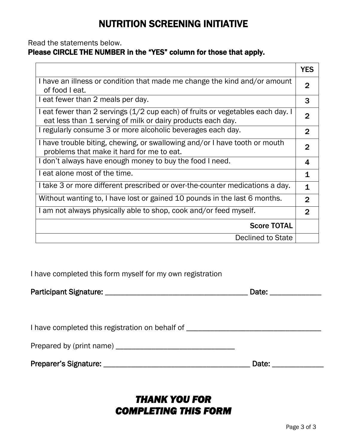# NUTRITION SCREENING INITIATIVE

#### Read the statements below.

### Please CIRCLE THE NUMBER in the "YES" column for those that apply.

|                                                                                                                                               | <b>YES</b>     |
|-----------------------------------------------------------------------------------------------------------------------------------------------|----------------|
| I have an illness or condition that made me change the kind and/or amount<br>of food I eat.                                                   | $\overline{2}$ |
| I eat fewer than 2 meals per day.                                                                                                             | 3              |
| I eat fewer than 2 servings (1/2 cup each) of fruits or vegetables each day. I<br>eat less than 1 serving of milk or dairy products each day. | 2              |
| I regularly consume 3 or more alcoholic beverages each day.                                                                                   | $\overline{2}$ |
| I have trouble biting, chewing, or swallowing and/or I have tooth or mouth<br>problems that make it hard for me to eat.                       | $\mathbf{2}$   |
| I don't always have enough money to buy the food I need.                                                                                      | 4              |
| I eat alone most of the time.                                                                                                                 | 1              |
| I take 3 or more different prescribed or over-the-counter medications a day.                                                                  | $\mathbf 1$    |
| Without wanting to, I have lost or gained 10 pounds in the last 6 months.                                                                     | $\overline{2}$ |
| I am not always physically able to shop, cook and/or feed myself.                                                                             | $\overline{2}$ |
| <b>Score TOTAL</b>                                                                                                                            |                |
| Declined to State                                                                                                                             |                |

I have completed this form myself for my own registration

| <b>Participant Signature:</b> | Date: |  |
|-------------------------------|-------|--|
|                               |       |  |

| I have completed this registration on behalf of |  |
|-------------------------------------------------|--|
|-------------------------------------------------|--|

| Prepared by (print name) |  |
|--------------------------|--|
|--------------------------|--|

|  |  | Preparer's Signature: |
|--|--|-----------------------|
|--|--|-----------------------|

Preparer's Signature: \_\_\_\_\_\_\_\_\_\_\_\_\_\_\_\_\_\_\_\_\_\_\_\_\_\_\_\_\_\_\_\_\_\_\_\_\_ Date: \_\_\_\_\_\_\_\_\_\_\_\_\_

## *THANK YOU FOR COMPLETING THIS FORM*